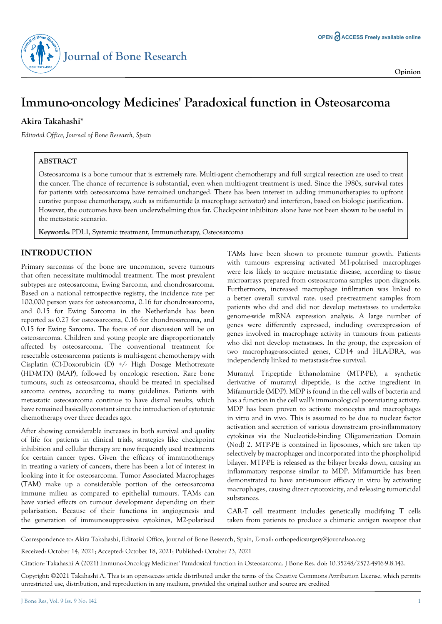

# **Immuno-oncology Medicines' Paradoxical function in Osteosarcoma**

## **Akira Takahashi\***

*Editorial Office, Journal of Bone Research, Spain*

### **ABSTRACT**

Osteosarcoma is a bone tumour that is extremely rare. Multi-agent chemotherapy and full surgical resection are used to treat the cancer. The chance of recurrence is substantial, even when multi-agent treatment is used. Since the 1980s, survival rates for patients with osteosarcoma have remained unchanged. There has been interest in adding immunotherapies to upfront curative purpose chemotherapy, such as mifamurtide (a macrophage activator) and interferon, based on biologic justification. However, the outcomes have been underwhelming thus far. Checkpoint inhibitors alone have not been shown to be useful in the metastatic scenario.

**Keywords:** PDL1, Systemic treatment, Immunotherapy, Osteosarcoma

### **INTRODUCTION**

Primary sarcomas of the bone are uncommon, severe tumours that often necessitate multimodal treatment. The most prevalent subtypes are osteosarcoma, Ewing Sarcoma, and chondrosarcoma. Based on a national retrospective registry, the incidence rate per 100,000 person years for osteosarcoma, 0.16 for chondrosarcoma, and 0.15 for Ewing Sarcoma in the Netherlands has been reported as 0.27 for osteosarcoma, 0.16 for chondrosarcoma, and 0.15 for Ewing Sarcoma. The focus of our discussion will be on osteosarcoma. Children and young people are disproportionately affected by osteosarcoma. The conventional treatment for resectable osteosarcoma patients is multi-agent chemotherapy with Cisplatin (C)-Doxorubicin (D) +/- High Dosage Methotrexate (HD-MTX) (MAP), followed by oncologic resection. Rare bone tumours, such as osteosarcoma, should be treated in specialised sarcoma centres, according to many guidelines. Patients with metastatic osteosarcoma continue to have dismal results, which have remained basically constant since the introduction of cytotoxic chemotherapy over three decades ago.

After showing considerable increases in both survival and quality of life for patients in clinical trials, strategies like checkpoint inhibition and cellular therapy are now frequently used treatments for certain cancer types. Given the efficacy of immunotherapy in treating a variety of cancers, there has been a lot of interest in looking into it for osteosarcoma. Tumor Associated Macrophages (TAM) make up a considerable portion of the osteosarcoma immune milieu as compared to epithelial tumours. TAMs can have varied effects on tumour development depending on their polarisation. Because of their functions in angiogenesis and the generation of immunosuppressive cytokines, M2-polarised TAMs have been shown to promote tumour growth. Patients with tumours expressing activated M1-polarised macrophages were less likely to acquire metastatic disease, according to tissue microarrays prepared from osteosarcoma samples upon diagnosis. Furthermore, increased macrophage infiltration was linked to a better overall survival rate. used pre-treatment samples from patients who did and did not develop metastases to undertake genome-wide mRNA expression analysis. A large number of genes were differently expressed, including overexpression of genes involved in macrophage activity in tumours from patients who did not develop metastases. In the group, the expression of two macrophage-associated genes, CD14 and HLA-DRA, was independently linked to metastasis-free survival.

Muramyl Tripeptide Ethanolamine (MTP-PE), a synthetic derivative of muramyl dipeptide, is the active ingredient in Mifamurtide (MDP). MDP is found in the cell walls of bacteria and has a function in the cell wall's immunological potentiating activity. MDP has been proven to activate monocytes and macrophages in vitro and in vivo. This is assumed to be due to nuclear factor activation and secretion of various downstream pro-inflammatory cytokines via the Nucleotide-binding Oligomerization Domain (Nod) 2. MTP-PE is contained in liposomes, which are taken up selectively by macrophages and incorporated into the phospholipid bilayer. MTP-PE is released as the bilayer breaks down, causing an inflammatory response similar to MDP. Mifamurtide has been demonstrated to have anti-tumour efficacy in vitro by activating macrophages, causing direct cytotoxicity, and releasing tumoricidal substances.

CAR-T cell treatment includes genetically modifying T cells taken from patients to produce a chimeric antigen receptor that

Correspondence to: Akira Takahashi, Editorial Office, Journal of Bone Research, Spain, E-mail: orthopedicsurgery@journalsoa.org

Received: October 14, 2021; Accepted: October 18, 2021; Published: October 23, 2021

Citation: Takahashi A (2021) Immuno-Oncology Medicines' Paradoxical function in Osteosarcoma. J Bone Res. doi: 10.35248/2572-4916-9.8.142.

Copyright: ©2021 Takahashi A. This is an open-access article distributed under the terms of the Creative Commons Attribution License, which permits unrestricted use, distribution, and reproduction in any medium, provided the original author and source are credited